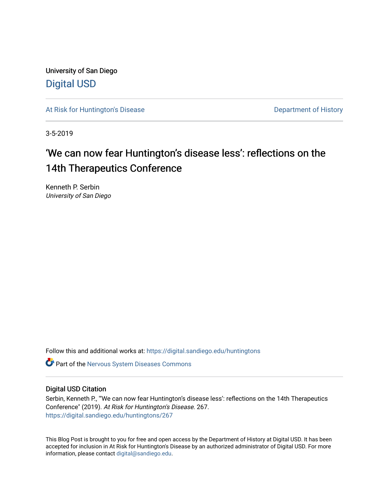University of San Diego [Digital USD](https://digital.sandiego.edu/)

[At Risk for Huntington's Disease](https://digital.sandiego.edu/huntingtons) **Department of History** Department of History

3-5-2019

# 'We can now fear Huntington's disease less': reflections on the 14th Therapeutics Conference

Kenneth P. Serbin University of San Diego

Follow this and additional works at: [https://digital.sandiego.edu/huntingtons](https://digital.sandiego.edu/huntingtons?utm_source=digital.sandiego.edu%2Fhuntingtons%2F267&utm_medium=PDF&utm_campaign=PDFCoverPages)

**C** Part of the [Nervous System Diseases Commons](http://network.bepress.com/hgg/discipline/928?utm_source=digital.sandiego.edu%2Fhuntingtons%2F267&utm_medium=PDF&utm_campaign=PDFCoverPages)

## Digital USD Citation

Serbin, Kenneth P., "'We can now fear Huntington's disease less': reflections on the 14th Therapeutics Conference" (2019). At Risk for Huntington's Disease. 267. [https://digital.sandiego.edu/huntingtons/267](https://digital.sandiego.edu/huntingtons/267?utm_source=digital.sandiego.edu%2Fhuntingtons%2F267&utm_medium=PDF&utm_campaign=PDFCoverPages)

This Blog Post is brought to you for free and open access by the Department of History at Digital USD. It has been accepted for inclusion in At Risk for Huntington's Disease by an authorized administrator of Digital USD. For more information, please contact [digital@sandiego.edu.](mailto:digital@sandiego.edu)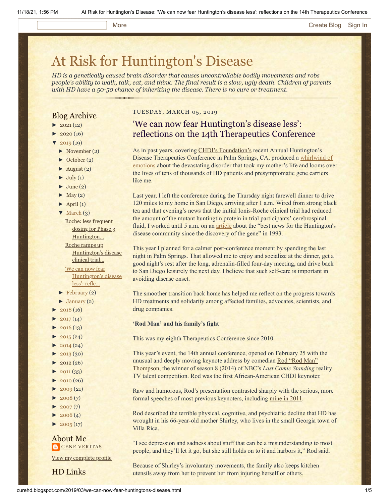#### More **[Create Blog](https://www.blogger.com/home#create) [Sign In](https://www.blogger.com/)**

# [At Risk for Huntington's Disease](http://curehd.blogspot.com/)

*HD is a genetically caused brain disorder that causes uncontrollable bodily movements and robs people's ability to walk, talk, eat, and think. The final result is a slow, ugly death. Children of parents with HD have a 50-50 chance of inheriting the disease. There is no cure or treatment.*

### Blog Archive

- $\blacktriangleright$  [2021](http://curehd.blogspot.com/2021/)(12)
- $2020(16)$  $2020(16)$
- $2019(19)$  $2019(19)$
- [►](javascript:void(0)) [November](http://curehd.blogspot.com/2019/11/) (2)
- [►](javascript:void(0)) [October](http://curehd.blogspot.com/2019/10/) (2)
- $\blacktriangleright$  [August](http://curehd.blogspot.com/2019/08/) (2)
- $\blacktriangleright$  [July](http://curehd.blogspot.com/2019/07/) (1)
- $\blacktriangleright$  [June](http://curehd.blogspot.com/2019/06/) (2)
- $\blacktriangleright$  [May](http://curehd.blogspot.com/2019/05/) (2)
- $\blacktriangleright$  [April](http://curehd.blogspot.com/2019/04/) (1)
- $\nabla$  [March](http://curehd.blogspot.com/2019/03/)  $(3)$

Roche: less frequent dosing for Phase 3 [Huntington...](http://curehd.blogspot.com/2019/03/roche-less-frequent-dosing-for-phase-3.html) Roche ramps up [Huntington's](http://curehd.blogspot.com/2019/03/roche-ramps-up-huntingtons-disease.html) disease

clinical trial... 'We can now fear

[Huntington's](http://curehd.blogspot.com/2019/03/we-can-now-fear-huntingtons-disease.html) disease less': refle...

- [►](javascript:void(0)) [February](http://curehd.blogspot.com/2019/02/) (2)
- $\blacktriangleright$  [January](http://curehd.blogspot.com/2019/01/) (2)
- [►](javascript:void(0)) [2018](http://curehd.blogspot.com/2018/) (16)
- $\blacktriangleright$  [2017](http://curehd.blogspot.com/2017/) (14)
- $2016(13)$  $2016(13)$
- $2015(24)$  $2015(24)$
- $\blacktriangleright$  [2014](http://curehd.blogspot.com/2014/) (24)
- $\blacktriangleright$  [2013](http://curehd.blogspot.com/2013/) (30)
- $\blacktriangleright$  [2012](http://curehd.blogspot.com/2012/) (26)
- $\blacktriangleright$  [2011](http://curehd.blogspot.com/2011/) (33)
- $\blacktriangleright$  [2010](http://curehd.blogspot.com/2010/) (26)
- $\blacktriangleright$  [2009](http://curehd.blogspot.com/2009/) (21)
- $-2008(7)$  $-2008(7)$  $-2008(7)$
- $\blacktriangleright$  [2007](http://curehd.blogspot.com/2007/) $(7)$
- $2006(4)$  $2006(4)$
- $\blacktriangleright$  [2005](http://curehd.blogspot.com/2005/) (17)

### About Me **GENE [VERITAS](https://www.blogger.com/profile/10911736205741688185)**

View my [complete](https://www.blogger.com/profile/10911736205741688185) profile

HD Links

### TUESDAY, MARCH 05, 2019

# 'We can now fear Huntington's disease less': reflections on the 14th Therapeutics Conference

As in past years, covering [CHDI's Foundation's](https://chdifoundation.org/) recent Annual Huntington's [Disease Therapeutics Conference in Palm Springs, CA, produced a whirlwind of](http://curehd.blogspot.com/2018/03/in-chronicling-quest-to-cure.html) emotions about the devastating disorder that took my mother's life and looms over the lives of tens of thousands of HD patients and presymptomatic gene carriers like me.

Last year, I left the conference during the Thursday night farewell dinner to drive 120 miles to my home in San Diego, arriving after 1 a.m. Wired from strong black tea and that evening's news that the initial Ionis-Roche clinical trial had reduced the amount of the mutant huntingtin protein in trial participants' cerebrospinal fluid, I worked until 5 a.m. on an [article](http://curehd.blogspot.com/2018/03/ionis-phase-12a-clinical-trial-data.html) about the "best news for the Huntington's disease community since the discovery of the gene" in 1993.

This year I planned for a calmer post-conference moment by spending the last night in Palm Springs. That allowed me to enjoy and socialize at the dinner, get a good night's rest after the long, adrenalin-filled four-day meeting, and drive back to San Diego leisurely the next day. I believe that such self-care is important in avoiding disease onset.

The smoother transition back home has helped me reflect on the progress towards HD treatments and solidarity among affected families, advocates, scientists, and drug companies.

#### **'Rod Man' and his family's fight**

This was my eighth Therapeutics Conference since 2010.

This year's event, the 14th annual conference, opened on February 25 with the [unusual and deeply moving keynote address by comedian Rod "Rod Man"](http://www.rodmancomedy.com/) Thompson, the winner of season 8 (2014) of NBC's *Last Comic Standing* reality TV talent competition. Rod was the first African-American CHDI keynoter.

Raw and humorous, Rod's presentation contrasted sharply with the serious, more formal speeches of most previous keynoters, including mine [in 2011](https://vimeo.com/19906160).

Rod described the terrible physical, cognitive, and psychiatric decline that HD has wrought in his 66-year-old mother Shirley, who lives in the small Georgia town of Villa Rica.

"I see depression and sadness about stuff that can be a misunderstanding to most people, and they'll let it go, but she still holds on to it and harbors it," Rod said.

Because of Shirley's involuntary movements, the family also keeps kitchen utensils away from her to prevent her from injuring herself or others.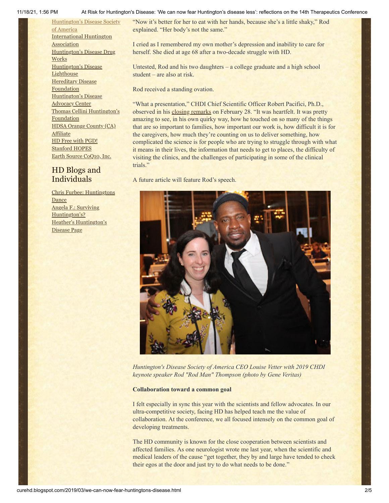[Huntington's](http://www.hdsa.org/) Disease Society of America [International](http://www.huntington-assoc.com/) Huntington **Association** [Huntington's](http://hddrugworks.org/) Disease Drug **Works** [Huntington's](http://www.hdlighthouse.org/) Disease **Lighthouse [Hereditary](http://www.hdfoundation.org/) Disease** Foundation [Huntington's](http://www.hdac.org/) Disease Advocacy Center Thomas [Cellini Huntington's](http://www.ourtchfoundation.org/) **Foundation** HDSA Orange County (CA) **[Affiliate](http://www.hdsaoc.org/)** HD Free with [PGD!](http://www.hdfreewithpgd.com/) [Stanford](http://www.stanford.edu/group/hopes/) HOPES Earth Source [CoQ10,](http://www.escoq10.com/) Inc.

# HD Blogs and Individuals

Chris Furbee: [Huntingtons](http://www.huntingtonsdance.org/) **Dance** Angela F.: Surviving [Huntington's?](http://survivinghuntingtons.blogspot.com/) Heather's [Huntington's](http://heatherdugdale.angelfire.com/) Disease Page

11/18/21, 1:56 PM At Risk for Huntington's Disease: 'We can now fear Huntington's disease less': reflections on the 14th Therapeutics Conference

"Now it's better for her to eat with her hands, because she's a little shaky," Rod explained. "Her body's not the same."

I cried as I remembered my own mother's depression and inability to care for herself. She died at age 68 after a two-decade struggle with HD.

Untested, Rod and his two daughters – a college graduate and a high school student – are also at risk.

Rod received a standing ovation.

"What a presentation," CHDI Chief Scientific Officer Robert Pacifici, Ph.D., observed in his [closing remarks](https://vimeo.com/321533972) on February 28. "It was heartfelt. It was pretty amazing to see, in his own quirky way, how he touched on so many of the things that are so important to families, how important our work is, how difficult it is for the caregivers, how much they're counting on us to deliver something, how complicated the science is for people who are trying to struggle through with what it means in their lives, the information that needs to get to places, the difficulty of visiting the clinics, and the challenges of participating in some of the clinical trials."

A future article will feature Rod's speech.



*Huntington's Disease Society of America CEO Louise Vetter with 2019 CHDI keynote speaker Rod "Rod Man" Thompson (photo by Gene Veritas)*

#### **Collaboration toward a common goal**

I felt especially in sync this year with the scientists and fellow advocates. In our ultra-competitive society, facing HD has helped teach me the value of collaboration. At the conference, we all focused intensely on the common goal of developing treatments.

The HD community is known for the close cooperation between scientists and affected families. As one neurologist wrote me last year, when the scientific and medical leaders of the cause "get together, they by and large have tended to check their egos at the door and just try to do what needs to be done."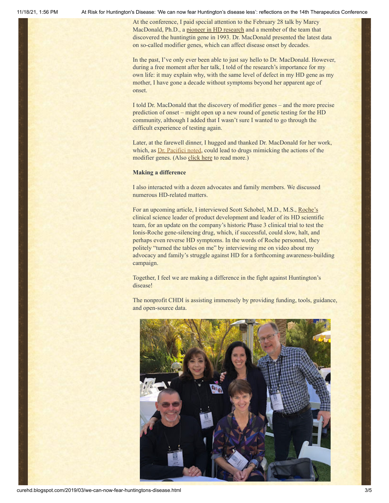11/18/21, 1:56 PM At Risk for Huntington's Disease: 'We can now fear Huntington's disease less': reflections on the 14th Therapeutics Conference

At the conference, I paid special attention to the February 28 talk by Marcy MacDonald, Ph.D., a [pioneer in HD research](https://hdsa.org/living-with-hd/faces-of-hd/meet-marcy-jim/) and a member of the team that discovered the huntingtin gene in 1993. Dr. MacDonald presented the latest data on so-called modifier genes, which can affect disease onset by decades.

In the past, I've only ever been able to just say hello to Dr. MacDonald. However, during a free moment after her talk, I told of the research's importance for my own life: it may explain why, with the same level of defect in my HD gene as my mother, I have gone a decade without symptoms beyond her apparent age of onset.

I told Dr. MacDonald that the discovery of modifier genes – and the more precise prediction of onset – might open up a new round of genetic testing for the HD community, although I added that I wasn't sure I wanted to go through the difficult experience of testing again.

Later, at the farewell dinner, I hugged and thanked Dr. MacDonald for her work, which, as **Dr. Pacifici noted**, could lead to drugs mimicking the actions of the modifier genes. (Also [click here](https://en.hdbuzz.net/270) to read more.)

#### **Making a difference**

I also interacted with a dozen advocates and family members. We discussed numerous HD-related matters.

For an upcoming article, I interviewed Scott Schobel, M.D., M.S., [Roche's](https://www.roche.com/) clinical science leader of product development and leader of its HD scientific team, for an update on the company's historic Phase 3 clinical trial to test the Ionis-Roche gene-silencing drug, which, if successful, could slow, halt, and perhaps even reverse HD symptoms. In the words of Roche personnel, they politely "turned the tables on me" by interviewing me on video about my advocacy and family's struggle against HD for a forthcoming awareness-building campaign.

Together, I feel we are making a difference in the fight against Huntington's disease!

The nonprofit CHDI is assisting immensely by providing funding, tools, guidance, and open-source data.

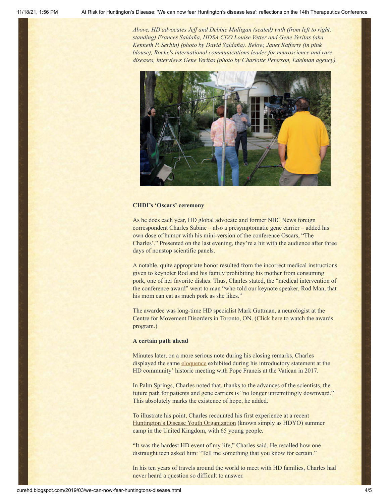*Above, HD advocates Jeff and Debbie Mulligan (seated) with (from left to right, standing) Frances Saldaña, HDSA CEO Louise Vetter and Gene Veritas (aka Kenneth P. Serbin) (photo by David Saldaña). Below, Janet Rafferty (in pink blouse), Roche's international communications leader for neuroscience and rare diseases, interviews Gene Veritas (photo by Charlotte Peterson, Edelman agency).*



#### **CHDI's 'Oscars' ceremony**

As he does each year, HD global advocate and former NBC News foreign correspondent Charles Sabine – also a presymptomatic gene carrier – added his own dose of humor with his mini-version of the conference Oscars, "The Charles'." Presented on the last evening, they're a hit with the audience after three days of nonstop scientific panels.

A notable, quite appropriate honor resulted from the incorrect medical instructions given to keynoter Rod and his family prohibiting his mother from consuming pork, one of her favorite dishes. Thus, Charles stated, the "medical intervention of the conference award" went to man "who told our keynote speaker, Rod Man, that his mom can eat as much pork as she likes."

The awardee was long-time HD specialist Mark Guttman, a neurologist at the Centre for Movement Disorders in Toronto, ON. [\(Click here](https://vimeo.com/321162597) to watch the awards program.)

#### **A certain path ahead**

Minutes later, on a more serious note during his closing remarks, Charles displayed the same [eloquence](http://curehd.blogspot.com/2017/05/francis-made-day-of-superlatives-for.html) exhibited during his introductory statement at the HD community' historic meeting with Pope Francis at the Vatican in 2017.

In Palm Springs, Charles noted that, thanks to the advances of the scientists, the future path for patients and gene carriers is "no longer unremittingly downward." This absolutely marks the existence of hope, he added.

To illustrate his point, Charles recounted his first experience at a recent [Huntington's Disease Youth Organization](https://en.hdyo.org/) (known simply as HDYO) summer camp in the United Kingdom, with 65 young people.

"It was the hardest HD event of my life," Charles said. He recalled how one distraught teen asked him: "Tell me something that you know for certain."

In his ten years of travels around the world to meet with HD families, Charles had never heard a question so difficult to answer.